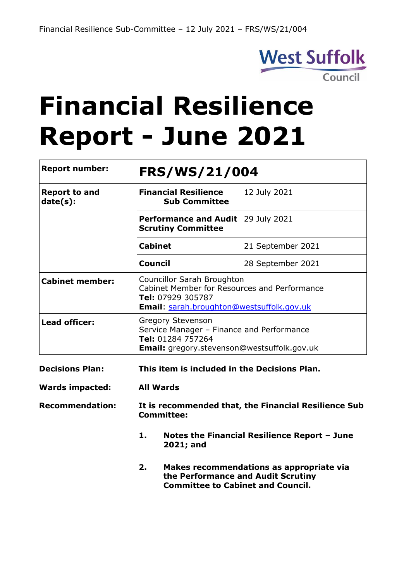

# **Financial Resilience Report - June 2021**

| <b>Report number:</b>            | <b>FRS/WS/21/004</b>                                                                                                                                |                                                                                                 |  |  |  |
|----------------------------------|-----------------------------------------------------------------------------------------------------------------------------------------------------|-------------------------------------------------------------------------------------------------|--|--|--|
| <b>Report to and</b><br>date(s): | <b>Financial Resilience</b><br><b>Sub Committee</b>                                                                                                 | 12 July 2021                                                                                    |  |  |  |
|                                  | <b>Performance and Audit</b><br><b>Scrutiny Committee</b>                                                                                           | 29 July 2021                                                                                    |  |  |  |
|                                  | <b>Cabinet</b>                                                                                                                                      | 21 September 2021                                                                               |  |  |  |
|                                  | <b>Council</b>                                                                                                                                      | 28 September 2021                                                                               |  |  |  |
| <b>Cabinet member:</b>           | <b>Councillor Sarah Broughton</b><br>Cabinet Member for Resources and Performance<br>Tel: 07929 305787<br>Email: sarah.broughton@westsuffolk.gov.uk |                                                                                                 |  |  |  |
| <b>Lead officer:</b>             | <b>Gregory Stevenson</b><br>Tel: 01284 757264                                                                                                       | Service Manager - Finance and Performance<br><b>Email:</b> gregory.stevenson@westsuffolk.gov.uk |  |  |  |
| <b>Decisions Plan:</b>           | This item is included in the Decisions Plan.                                                                                                        |                                                                                                 |  |  |  |
| <b>Wards impacted:</b>           | <b>All Wards</b>                                                                                                                                    |                                                                                                 |  |  |  |
| <b>Recommendation:</b>           | <b>Committee:</b>                                                                                                                                   | It is recommended that, the Financial Resilience Sub                                            |  |  |  |
|                                  | 1.<br>2021; and                                                                                                                                     | Notes the Financial Resilience Report - June                                                    |  |  |  |
|                                  | 2.<br>Makes recommendations as appropriate via<br>the Performance and Audit Scrutiny<br><b>Committee to Cabinet and Council.</b>                    |                                                                                                 |  |  |  |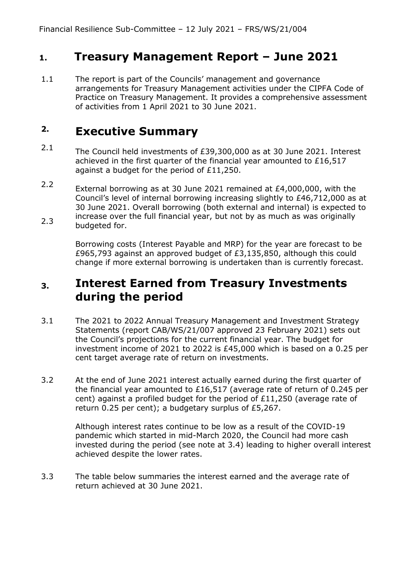## **1. Treasury Management Report – June 2021**

1.1 The report is part of the Councils' management and governance arrangements for Treasury Management activities under the CIPFA Code of Practice on Treasury Management. It provides a comprehensive assessment of activities from 1 April 2021 to 30 June 2021.

#### **2. Executive Summary**

- 2.1 The Council held investments of £39,300,000 as at 30 June 2021. Interest achieved in the first quarter of the financial year amounted to £16,517 against a budget for the period of £11,250.
- 2.2 2.3 External borrowing as at 30 June 2021 remained at £4,000,000, with the Council's level of internal borrowing increasing slightly to £46,712,000 as at 30 June 2021. Overall borrowing (both external and internal) is expected to increase over the full financial year, but not by as much as was originally budgeted for.

Borrowing costs (Interest Payable and MRP) for the year are forecast to be £965,793 against an approved budget of £3,135,850, although this could change if more external borrowing is undertaken than is currently forecast.

#### **3. Interest Earned from Treasury Investments during the period**

- 3.1 The 2021 to 2022 Annual Treasury Management and Investment Strategy Statements (report CAB/WS/21/007 approved 23 February 2021) sets out the Council's projections for the current financial year. The budget for investment income of 2021 to 2022 is £45,000 which is based on a 0.25 per cent target average rate of return on investments.
- 3.2 At the end of June 2021 interest actually earned during the first quarter of the financial year amounted to £16,517 (average rate of return of 0.245 per cent) against a profiled budget for the period of £11,250 (average rate of return 0.25 per cent); a budgetary surplus of £5,267.

Although interest rates continue to be low as a result of the COVID-19 pandemic which started in mid-March 2020, the Council had more cash invested during the period (see note at 3.4) leading to higher overall interest achieved despite the lower rates.

3.3 The table below summaries the interest earned and the average rate of return achieved at 30 June 2021.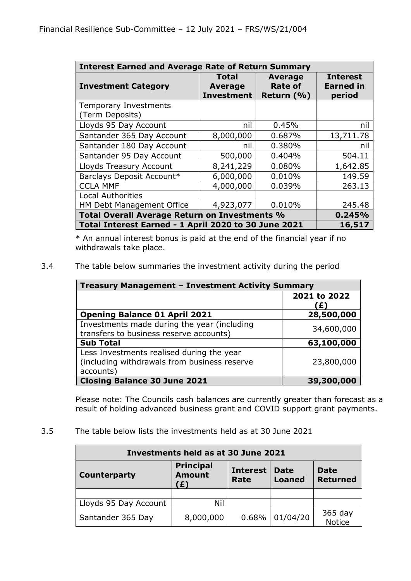| <b>Interest Earned and Average Rate of Return Summary</b> |                                              |                                                |                                               |  |  |  |
|-----------------------------------------------------------|----------------------------------------------|------------------------------------------------|-----------------------------------------------|--|--|--|
| <b>Investment Category</b>                                | Total<br><b>Average</b><br><b>Investment</b> | <b>Average</b><br><b>Rate of</b><br>Return (%) | <b>Interest</b><br><b>Earned in</b><br>period |  |  |  |
| <b>Temporary Investments</b><br>(Term Deposits)           |                                              |                                                |                                               |  |  |  |
| Lloyds 95 Day Account                                     | nil                                          | 0.45%                                          | nil                                           |  |  |  |
| Santander 365 Day Account                                 | 8,000,000                                    | 0.687%                                         | 13,711.78                                     |  |  |  |
| Santander 180 Day Account                                 | nil                                          | 0.380%                                         | nil                                           |  |  |  |
| Santander 95 Day Account                                  | 500,000                                      | 0.404%                                         | 504.11                                        |  |  |  |
| <b>Lloyds Treasury Account</b>                            | 8,241,229                                    | 0.080%                                         | 1,642.85                                      |  |  |  |
| Barclays Deposit Account*                                 | 6,000,000                                    | 0.010%                                         | 149.59                                        |  |  |  |
| <b>CCLA MMF</b>                                           | 4,000,000                                    | 0.039%                                         | 263.13                                        |  |  |  |
| <b>Local Authorities</b>                                  |                                              |                                                |                                               |  |  |  |
| HM Debt Management Office                                 | 4,923,077                                    | 0.010%                                         | 245.48                                        |  |  |  |
| Total Overall Average Return on Investments %<br>0.245%   |                                              |                                                |                                               |  |  |  |
| Total Interest Earned - 1 April 2020 to 30 June 2021      |                                              |                                                | 16,517                                        |  |  |  |

\* An annual interest bonus is paid at the end of the financial year if no withdrawals take place.

3.4 The table below summaries the investment activity during the period

| Treasury Management - Investment Activity Summary                                                      |                   |  |  |  |
|--------------------------------------------------------------------------------------------------------|-------------------|--|--|--|
|                                                                                                        | 2021 to 2022<br>Ð |  |  |  |
| <b>Opening Balance 01 April 2021</b>                                                                   | 28,500,000        |  |  |  |
| Investments made during the year (including<br>transfers to business reserve accounts)                 | 34,600,000        |  |  |  |
| <b>Sub Total</b>                                                                                       | 63,100,000        |  |  |  |
| Less Investments realised during the year<br>(including withdrawals from business reserve<br>accounts) | 23,800,000        |  |  |  |
| <b>Closing Balance 30 June 2021</b>                                                                    | 39,300,000        |  |  |  |

Please note: The Councils cash balances are currently greater than forecast as a result of holding advanced business grant and COVID support grant payments.

3.5 The table below lists the investments held as at 30 June 2021

| Investments held as at 30 June 2021                                                                                                                          |           |       |          |                          |  |  |  |
|--------------------------------------------------------------------------------------------------------------------------------------------------------------|-----------|-------|----------|--------------------------|--|--|--|
| <b>Principal</b><br><b>Interest</b><br><b>Date</b><br>Date<br><b>Amount</b><br><b>Counterparty</b><br><b>Returned</b><br><b>Loaned</b><br><b>Rate</b><br>(£) |           |       |          |                          |  |  |  |
|                                                                                                                                                              |           |       |          |                          |  |  |  |
| Lloyds 95 Day Account                                                                                                                                        | Nil       |       |          |                          |  |  |  |
| Santander 365 Day                                                                                                                                            | 8,000,000 | 0.68% | 01/04/20 | 365 day<br><b>Notice</b> |  |  |  |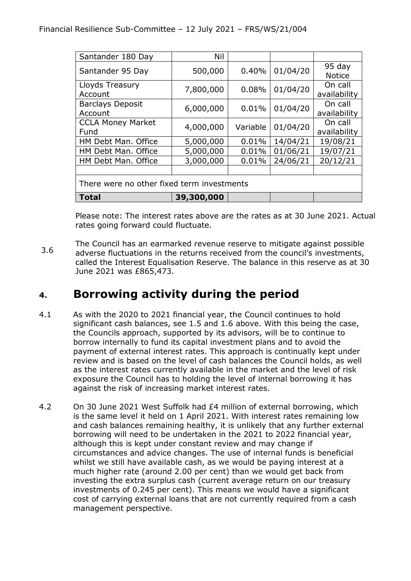| Santander 180 Day                          | Nil        |          |          |                           |  |  |
|--------------------------------------------|------------|----------|----------|---------------------------|--|--|
| Santander 95 Day                           | 500,000    | 0.40%    | 01/04/20 | $95$ day<br><b>Notice</b> |  |  |
| Lloyds Treasury<br>Account                 | 7,800,000  | 0.08%    | 01/04/20 | On call<br>availability   |  |  |
| <b>Barclays Deposit</b><br>Account         | 6,000,000  | 0.01%    | 01/04/20 | On call<br>availability   |  |  |
| <b>CCLA Money Market</b><br>Fund           | 4,000,000  | Variable | 01/04/20 | On call<br>availability   |  |  |
| HM Debt Man. Office                        | 5,000,000  | 0.01%    | 14/04/21 | 19/08/21                  |  |  |
| HM Debt Man. Office                        | 5,000,000  | 0.01%    | 01/06/21 | 19/07/21                  |  |  |
| HM Debt Man. Office                        | 3,000,000  | 0.01%    | 24/06/21 | 20/12/21                  |  |  |
|                                            |            |          |          |                           |  |  |
| There were no other fixed term investments |            |          |          |                           |  |  |
| <b>Total</b>                               | 39,300,000 |          |          |                           |  |  |

Please note: The interest rates above are the rates as at 30 June 2021. Actual rates going forward could fluctuate.

3.6 The Council has an earmarked revenue reserve to mitigate against possible adverse fluctuations in the returns received from the council's investments, called the Interest Equalisation Reserve. The balance in this reserve as at 30 June 2021 was £865,473.

# **4. Borrowing activity during the period**

- 4.1 As with the 2020 to 2021 financial year, the Council continues to hold significant cash balances, see 1.5 and 1.6 above. With this being the case, the Councils approach, supported by its advisors, will be to continue to borrow internally to fund its capital investment plans and to avoid the payment of external interest rates. This approach is continually kept under review and is based on the level of cash balances the Council holds, as well as the interest rates currently available in the market and the level of risk exposure the Council has to holding the level of internal borrowing it has against the risk of increasing market interest rates.
- 4.2 On 30 June 2021 West Suffolk had £4 million of external borrowing, which is the same level it held on 1 April 2021. With interest rates remaining low and cash balances remaining healthy, it is unlikely that any further external borrowing will need to be undertaken in the 2021 to 2022 financial year, although this is kept under constant review and may change if circumstances and advice changes. The use of internal funds is beneficial whilst we still have available cash, as we would be paying interest at a much higher rate (around 2.00 per cent) than we would get back from investing the extra surplus cash (current average return on our treasury investments of 0.245 per cent). This means we would have a significant cost of carrying external loans that are not currently required from a cash management perspective.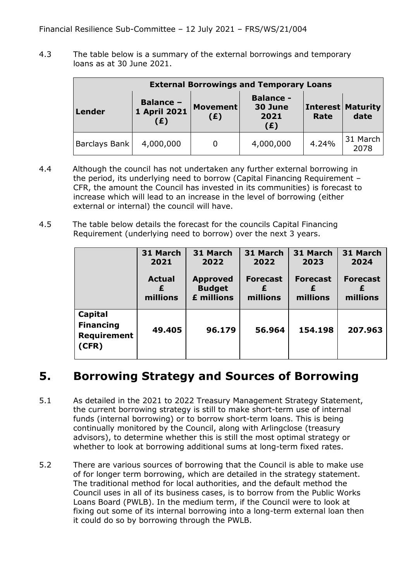4.3 The table below is a summary of the external borrowings and temporary loans as at 30 June 2021.

| <b>External Borrowings and Temporary Loans</b> |                                         |                        |                                            |       |                                  |  |  |
|------------------------------------------------|-----------------------------------------|------------------------|--------------------------------------------|-------|----------------------------------|--|--|
| <b>Lender</b>                                  | <b>Balance -</b><br>1 April 2021<br>(£) | <b>Movement</b><br>(E) | <b>Balance -</b><br>30 June<br>2021<br>(E) | Rate  | <b>Interest Maturity</b><br>date |  |  |
| <b>Barclays Bank</b>                           | 4,000,000                               | 0                      | 4,000,000                                  | 4.24% | 31 March<br>2078                 |  |  |

- 4.4 Although the council has not undertaken any further external borrowing in the period, its underlying need to borrow (Capital Financing Requirement – CFR, the amount the Council has invested in its communities) is forecast to increase which will lead to an increase in the level of borrowing (either external or internal) the council will have.
- 4.5 The table below details the forecast for the councils Capital Financing Requirement (underlying need to borrow) over the next 3 years.

|                                                            | 31 March<br>2021<br><b>Actual</b><br>millions | 31 March<br>2022<br><b>Approved</b><br><b>Budget</b><br>£ millions | 31 March<br>2022<br><b>Forecast</b><br>millions | 31 March<br>2023<br><b>Forecast</b><br>millions | 31 March<br>2024<br><b>Forecast</b><br>millions |
|------------------------------------------------------------|-----------------------------------------------|--------------------------------------------------------------------|-------------------------------------------------|-------------------------------------------------|-------------------------------------------------|
| Capital<br><b>Financing</b><br><b>Requirement</b><br>(CFR) | 49.405                                        | 96.179                                                             | 56.964                                          | 154.198                                         | 207.963                                         |

# **5. Borrowing Strategy and Sources of Borrowing**

- 5.1 As detailed in the 2021 to 2022 Treasury Management Strategy Statement, the current borrowing strategy is still to make short-term use of internal funds (internal borrowing) or to borrow short-term loans. This is being continually monitored by the Council, along with Arlingclose (treasury advisors), to determine whether this is still the most optimal strategy or whether to look at borrowing additional sums at long-term fixed rates.
- 5.2 There are various sources of borrowing that the Council is able to make use of for longer term borrowing, which are detailed in the strategy statement. The traditional method for local authorities, and the default method the Council uses in all of its business cases, is to borrow from the Public Works Loans Board (PWLB). In the medium term, if the Council were to look at fixing out some of its internal borrowing into a long-term external loan then it could do so by borrowing through the PWLB.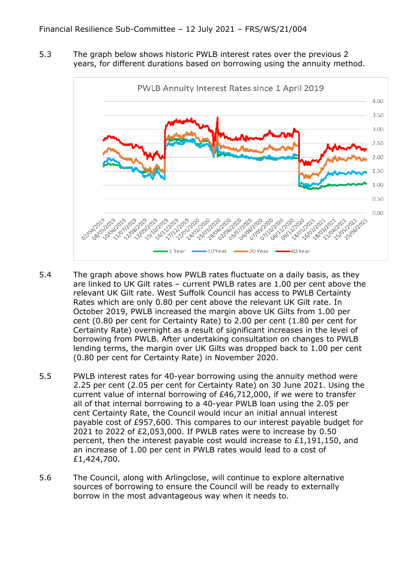5.3 The graph below shows historic PWLB interest rates over the previous 2 years, for different durations based on borrowing using the annuity method.



- 5.4 The graph above shows how PWLB rates fluctuate on a daily basis, as they are linked to UK Gilt rates – current PWLB rates are 1.00 per cent above the relevant UK Gilt rate. West Suffolk Council has access to PWLB Certainty Rates which are only 0.80 per cent above the relevant UK Gilt rate. In October 2019, PWLB increased the margin above UK Gilts from 1.00 per cent (0.80 per cent for Certainty Rate) to 2.00 per cent (1.80 per cent for Certainty Rate) overnight as a result of significant increases in the level of borrowing from PWLB. After undertaking consultation on changes to PWLB lending terms, the margin over UK Gilts was dropped back to 1.00 per cent (0.80 per cent for Certainty Rate) in November 2020.
- 5.5 PWLB interest rates for 40-year borrowing using the annuity method were 2.25 per cent (2.05 per cent for Certainty Rate) on 30 June 2021. Using the current value of internal borrowing of £46,712,000, if we were to transfer all of that internal borrowing to a 40-year PWLB loan using the 2.05 per cent Certainty Rate, the Council would incur an initial annual interest payable cost of £957,600. This compares to our interest payable budget for 2021 to 2022 of £2,053,000. If PWLB rates were to increase by 0.50 percent, then the interest payable cost would increase to £1,191,150, and an increase of 1.00 per cent in PWLB rates would lead to a cost of £1,424,700.
- 5.6 The Council, along with Arlingclose, will continue to explore alternative sources of borrowing to ensure the Council will be ready to externally borrow in the most advantageous way when it needs to.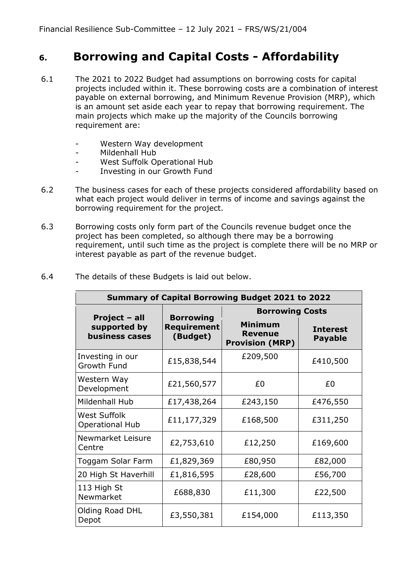# **6. Borrowing and Capital Costs - Affordability**

- 6.1 The 2021 to 2022 Budget had assumptions on borrowing costs for capital projects included within it. These borrowing costs are a combination of interest payable on external borrowing, and Minimum Revenue Provision (MRP), which is an amount set aside each year to repay that borrowing requirement. The main projects which make up the majority of the Councils borrowing requirement are:
	- Western Way development
	- Mildenhall Hub
	- West Suffolk Operational Hub
	- Investing in our Growth Fund
- 6.2 The business cases for each of these projects considered affordability based on what each project would deliver in terms of income and savings against the borrowing requirement for the project.
- 6.3 Borrowing costs only form part of the Councils revenue budget once the project has been completed, so although there may be a borrowing requirement, until such time as the project is complete there will be no MRP or interest payable as part of the revenue budget.

| <b>Summary of Capital Borrowing Budget 2021 to 2022</b> |                                                    |                                                            |                                   |  |  |  |
|---------------------------------------------------------|----------------------------------------------------|------------------------------------------------------------|-----------------------------------|--|--|--|
|                                                         |                                                    | <b>Borrowing Costs</b>                                     |                                   |  |  |  |
| Project - all<br>supported by<br>business cases         | <b>Borrowing</b><br><b>Requirement</b><br>(Budget) | <b>Minimum</b><br><b>Revenue</b><br><b>Provision (MRP)</b> | <b>Interest</b><br><b>Payable</b> |  |  |  |
| Investing in our<br><b>Growth Fund</b>                  | £15,838,544                                        | £209,500                                                   | £410,500                          |  |  |  |
| Western Way<br>Development                              | £21,560,577                                        | £0                                                         | £0                                |  |  |  |
| Mildenhall Hub                                          | £17,438,264                                        | £243,150                                                   | £476,550                          |  |  |  |
| <b>West Suffolk</b><br><b>Operational Hub</b>           | £11,177,329                                        | £168,500                                                   | £311,250                          |  |  |  |
| Newmarket Leisure<br>Centre                             | £2,753,610                                         | £12,250                                                    | £169,600                          |  |  |  |
| Toggam Solar Farm                                       | £1,829,369                                         | £80,950                                                    | £82,000                           |  |  |  |
| 20 High St Haverhill                                    | £1,816,595                                         | £28,600                                                    | £56,700                           |  |  |  |
| 113 High St<br>Newmarket                                | £688,830                                           | £11,300                                                    | £22,500                           |  |  |  |
| Olding Road DHL<br>Depot                                | £3,550,381                                         | £154,000                                                   | £113,350                          |  |  |  |

6.4 The details of these Budgets is laid out below.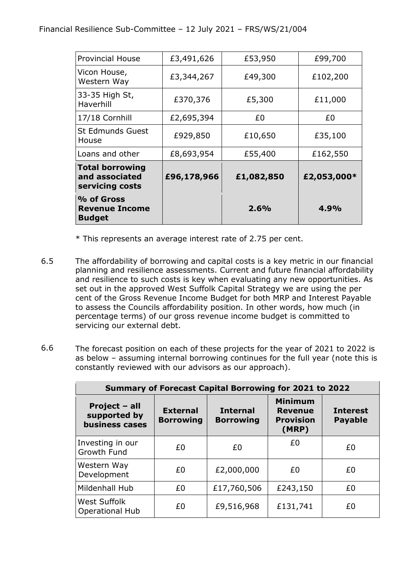| % of Gross<br><b>Revenue Income</b><br><b>Budget</b>        |             | 2.6%       | 4.9%        |
|-------------------------------------------------------------|-------------|------------|-------------|
| <b>Total borrowing</b><br>and associated<br>servicing costs | £96,178,966 | £1,082,850 | £2,053,000* |
| Loans and other                                             | £8,693,954  | £55,400    | £162,550    |
| <b>St Edmunds Guest</b><br>House                            | £929,850    | £10,650    | £35,100     |
| 17/18 Cornhill                                              | £2,695,394  | £0         | £0          |
| 33-35 High St,<br>Haverhill                                 | £370,376    | £5,300     | £11,000     |
| Vicon House,<br>Western Way                                 | £3,344,267  | £49,300    | £102,200    |
| <b>Provincial House</b>                                     | £3,491,626  | £53,950    | £99,700     |

\* This represents an average interest rate of 2.75 per cent.

- 6.5 The affordability of borrowing and capital costs is a key metric in our financial planning and resilience assessments. Current and future financial affordability and resilience to such costs is key when evaluating any new opportunities. As set out in the approved West Suffolk Capital Strategy we are using the per cent of the Gross Revenue Income Budget for both MRP and Interest Payable to assess the Councils affordability position. In other words, how much (in percentage terms) of our gross revenue income budget is committed to servicing our external debt.
- 6.6 The forecast position on each of these projects for the year of 2021 to 2022 is as below – assuming internal borrowing continues for the full year (note this is constantly reviewed with our advisors as our approach).

| <b>Summary of Forecast Capital Borrowing for 2021 to 2022</b> |                                     |             |                                                               |                                   |  |  |
|---------------------------------------------------------------|-------------------------------------|-------------|---------------------------------------------------------------|-----------------------------------|--|--|
| Project - all<br>supported by<br><b>business cases</b>        | <b>External</b><br><b>Borrowing</b> |             | <b>Minimum</b><br><b>Revenue</b><br><b>Provision</b><br>(MRP) | <b>Interest</b><br><b>Payable</b> |  |  |
| Investing in our<br><b>Growth Fund</b>                        | £0                                  | £0          | £0                                                            | £0                                |  |  |
| Western Way<br>Development                                    | £0                                  | £2,000,000  | £0                                                            | £0                                |  |  |
| Mildenhall Hub                                                | £0                                  | £17,760,506 | £243,150                                                      | £0                                |  |  |
| <b>West Suffolk</b><br><b>Operational Hub</b>                 | £0                                  | £9,516,968  | £131,741                                                      | £0                                |  |  |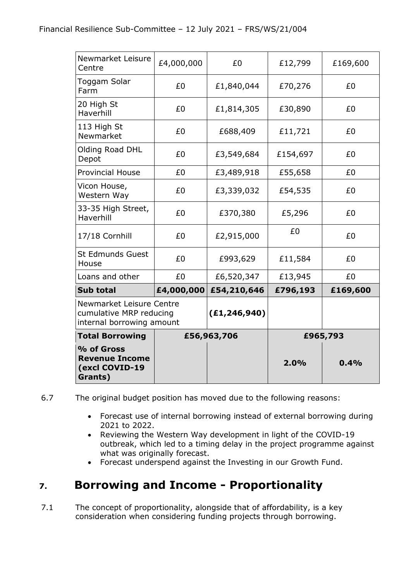| Newmarket Leisure<br>Centre                                                      | £4,000,000 | £0             | £12,799  | £169,600 |
|----------------------------------------------------------------------------------|------------|----------------|----------|----------|
| Toggam Solar<br>Farm                                                             | £0         | £1,840,044     | £70,276  |          |
| 20 High St<br>Haverhill                                                          | £0         | £1,814,305     | £30,890  | £0       |
| 113 High St<br>Newmarket                                                         | £0         | £688,409       | £11,721  | £0       |
| Olding Road DHL<br>Depot                                                         | £0         | £3,549,684     | £154,697 | £0       |
| <b>Provincial House</b>                                                          | £0         | £3,489,918     | £55,658  | £0       |
| Vicon House,<br>Western Way                                                      | £0         | £3,339,032     | £54,535  | £0       |
| 33-35 High Street,<br>Haverhill                                                  | £0         | £370,380       | £5,296   | £0       |
| 17/18 Cornhill                                                                   | £0         | £2,915,000     | £0       | £0       |
| <b>St Edmunds Guest</b><br>House                                                 | £0         | £993,629       | £11,584  | £0       |
| Loans and other                                                                  | £0         | £6,520,347     | £13,945  | £0       |
| <b>Sub total</b>                                                                 | £4,000,000 | £54,210,646    | £796,193 | £169,600 |
| Newmarket Leisure Centre<br>cumulative MRP reducing<br>internal borrowing amount |            | (E1, 246, 940) |          |          |
| <b>Total Borrowing</b>                                                           |            | £56,963,706    |          | £965,793 |
| % of Gross<br><b>Revenue Income</b><br>(excl COVID-19<br>Grants)                 |            |                | 2.0%     | 0.4%     |

6.7 The original budget position has moved due to the following reasons:

- Forecast use of internal borrowing instead of external borrowing during 2021 to 2022.
- Reviewing the Western Way development in light of the COVID-19 outbreak, which led to a timing delay in the project programme against what was originally forecast.
- Forecast underspend against the Investing in our Growth Fund.

# **7. Borrowing and Income - Proportionality**

7.1 The concept of proportionality, alongside that of affordability, is a key consideration when considering funding projects through borrowing.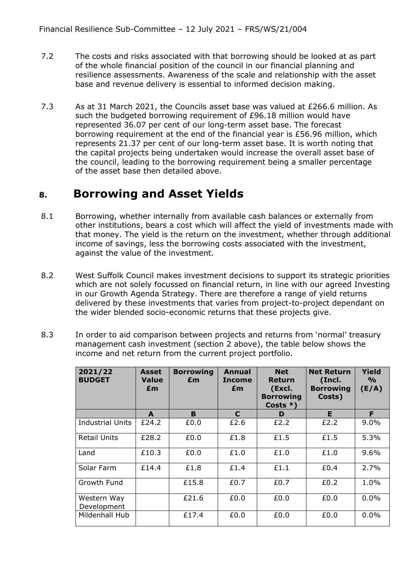- 7.2 The costs and risks associated with that borrowing should be looked at as part of the whole financial position of the council in our financial planning and resilience assessments. Awareness of the scale and relationship with the asset base and revenue delivery is essential to informed decision making.
- 7.3 As at 31 March 2021, the Councils asset base was valued at £266.6 million. As such the budgeted borrowing requirement of £96.18 million would have represented 36.07 per cent of our long-term asset base. The forecast borrowing requirement at the end of the financial year is £56.96 million, which represents 21.37 per cent of our long-term asset base. It is worth noting that the capital projects being undertaken would increase the overall asset base of the council, leading to the borrowing requirement being a smaller percentage of the asset base then detailed above.

### **8. Borrowing and Asset Yields**

- 8.1 Borrowing, whether internally from available cash balances or externally from other institutions, bears a cost which will affect the yield of investments made with that money. The yield is the return on the investment, whether through additional income of savings, less the borrowing costs associated with the investment, against the value of the investment.
- 8.2 West Suffolk Council makes investment decisions to support its strategic priorities which are not solely focussed on financial return, in line with our agreed Investing in our Growth Agenda Strategy. There are therefore a range of yield returns delivered by these investments that varies from project-to-project dependant on the wider blended socio-economic returns that these projects give.
- 8.3 In order to aid comparison between projects and returns from 'normal' treasury management cash investment (section 2 above), the table below shows the income and net return from the current project portfolio.

| 2021/22<br><b>BUDGET</b>   | Asset<br><b>Value</b><br>£m | <b>Borrowing</b><br>£m | <b>Annual</b><br><b>Income</b><br>£m | <b>Net</b><br><b>Return</b><br>(Excl.<br><b>Borrowing</b><br>Costs $*$ ) | <b>Net Return</b><br>(Incl.<br><b>Borrowing</b><br>Costs) | Yield<br>$\frac{1}{2}$<br>(E/A) |
|----------------------------|-----------------------------|------------------------|--------------------------------------|--------------------------------------------------------------------------|-----------------------------------------------------------|---------------------------------|
|                            | A                           | B                      | C                                    | D                                                                        | E                                                         | F                               |
| <b>Industrial Units</b>    | £24.2                       | £0.0                   | £2.6                                 | £2.2                                                                     | £2.2                                                      | 9.0%                            |
| <b>Retail Units</b>        | £28.2                       | £0.0                   | £1.8                                 | £1.5                                                                     | £1.5                                                      | 5.3%                            |
| Land                       | £10.3                       | £0.0                   | £1.0                                 | £1.0                                                                     | £1.0                                                      | 9.6%                            |
| Solar Farm                 | £14.4                       | £1.8                   | £1.4                                 | £1.1                                                                     | £0.4                                                      | 2.7%                            |
| Growth Fund                |                             | £15.8                  | £0.7                                 | £0.7                                                                     | £0.2                                                      | 1.0%                            |
| Western Way<br>Development |                             | £21.6                  | £0.0                                 | £0.0                                                                     | £0.0                                                      | 0.0%                            |
| Mildenhall Hub             |                             | £17.4                  | £0.0                                 | £0.0                                                                     | £0.0                                                      | 0.0%                            |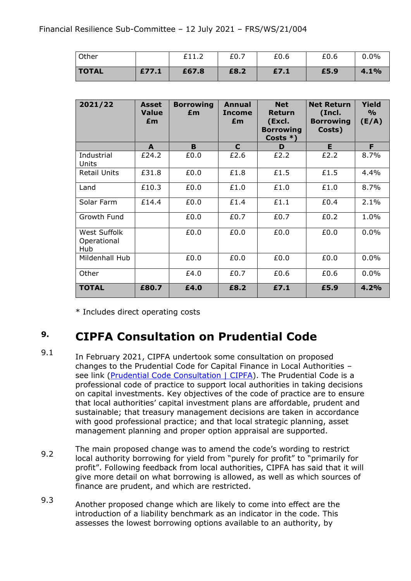| Other        |       | £11.2 | £0.7 | £0.6 | £0.6 | 0.0% |
|--------------|-------|-------|------|------|------|------|
| <b>TOTAL</b> | £77.1 | £67.8 | £8.2 | £7.1 | £5.9 | 4.1% |

| 2021/22                            | <b>Asset</b><br><b>Value</b><br>£m | <b>Borrowing</b><br>£m | Annual<br><b>Income</b><br>£m | <b>Net</b><br>Return<br>(Excl.<br><b>Borrowing</b><br>Costs $*)$ | <b>Net Return</b><br>(Incl.<br><b>Borrowing</b><br>Costs) | <b>Yield</b><br>$\frac{9}{0}$<br>(E/A) |
|------------------------------------|------------------------------------|------------------------|-------------------------------|------------------------------------------------------------------|-----------------------------------------------------------|----------------------------------------|
|                                    | A                                  | B                      | $\mathbf C$                   | D                                                                | E.                                                        | F                                      |
| Industrial<br>Units                | £24.2                              | £0.0                   | £2.6                          | £2.2                                                             | £2.2                                                      | 8.7%                                   |
| <b>Retail Units</b>                | £31.8                              | £0.0                   | £1.8                          | £1.5                                                             | £1.5                                                      | 4.4%                                   |
| Land                               | £10.3                              | £0.0                   | £1.0                          | £1.0                                                             | £1.0                                                      | 8.7%                                   |
| Solar Farm                         | £14.4                              | £0.0                   | £1.4                          | £1.1                                                             | £0.4                                                      | 2.1%                                   |
| Growth Fund                        |                                    | £0.0                   | £0.7                          | £0.7                                                             | £0.2                                                      | 1.0%                                   |
| West Suffolk<br>Operational<br>Hub |                                    | £0.0                   | £0.0                          | £0.0                                                             | £0.0                                                      | 0.0%                                   |
| Mildenhall Hub                     |                                    | £0.0                   | £0.0                          | £0.0                                                             | £0.0                                                      | $0.0\%$                                |
| Other                              |                                    | £4.0                   | £0.7                          | £0.6                                                             | £0.6                                                      | 0.0%                                   |
| <b>TOTAL</b>                       | £80.7                              | £4.0                   | £8.2                          | £7.1                                                             | £5.9                                                      | 4.2%                                   |

\* Includes direct operating costs

#### **9. CIPFA Consultation on Prudential Code**

- 9.1 In February 2021, CIPFA undertook some consultation on proposed changes to the Prudential Code for Capital Finance in Local Authorities – see link [\(Prudential Code Consultation | CIPFA\)](https://www.cipfa.org/policy-and-guidance/consultations-archive/prudential-code-consultation). The Prudential Code is a professional code of practice to support local authorities in taking decisions on capital investments. Key objectives of the code of practice are to ensure that local authorities' capital investment plans are affordable, prudent and sustainable; that treasury management decisions are taken in accordance with good professional practice; and that local strategic planning, asset management planning and proper option appraisal are supported.
- 9.2 The main proposed change was to amend the code's wording to restrict local authority borrowing for yield from "purely for profit" to "primarily for profit". Following feedback from local authorities, CIPFA has said that it will give more detail on what borrowing is allowed, as well as which sources of finance are prudent, and which are restricted.
- 9.3 Another proposed change which are likely to come into effect are the introduction of a liability benchmark as an indicator in the code. This assesses the lowest borrowing options available to an authority, by